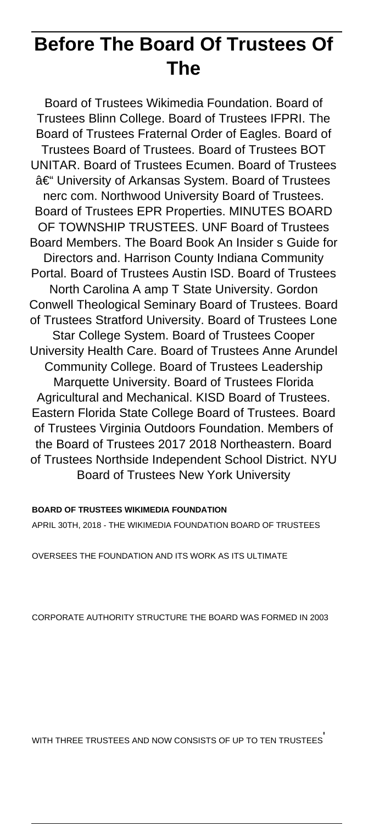# **Before The Board Of Trustees Of The**

Board of Trustees Wikimedia Foundation. Board of Trustees Blinn College. Board of Trustees IFPRI. The Board of Trustees Fraternal Order of Eagles. Board of Trustees Board of Trustees. Board of Trustees BOT UNITAR. Board of Trustees Ecumen. Board of Trustees – University of Arkansas System. Board of Trustees nerc com. Northwood University Board of Trustees. Board of Trustees EPR Properties. MINUTES BOARD OF TOWNSHIP TRUSTEES. UNF Board of Trustees Board Members. The Board Book An Insider s Guide for Directors and. Harrison County Indiana Community Portal. Board of Trustees Austin ISD. Board of Trustees North Carolina A amp T State University. Gordon Conwell Theological Seminary Board of Trustees. Board of Trustees Stratford University. Board of Trustees Lone Star College System. Board of Trustees Cooper University Health Care. Board of Trustees Anne Arundel Community College. Board of Trustees Leadership Marquette University. Board of Trustees Florida Agricultural and Mechanical. KISD Board of Trustees. Eastern Florida State College Board of Trustees. Board of Trustees Virginia Outdoors Foundation. Members of the Board of Trustees 2017 2018 Northeastern. Board of Trustees Northside Independent School District. NYU Board of Trustees New York University

#### **BOARD OF TRUSTEES WIKIMEDIA FOUNDATION**

APRIL 30TH, 2018 - THE WIKIMEDIA FOUNDATION BOARD OF TRUSTEES

OVERSEES THE FOUNDATION AND ITS WORK AS ITS ULTIMATE

CORPORATE AUTHORITY STRUCTURE THE BOARD WAS FORMED IN 2003

WITH THREE TRUSTEES AND NOW CONSISTS OF UP TO TEN TRUSTEES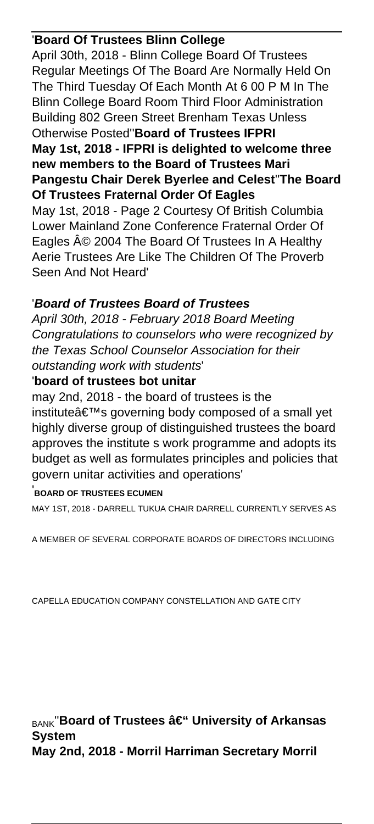## '**Board Of Trustees Blinn College**

April 30th, 2018 - Blinn College Board Of Trustees Regular Meetings Of The Board Are Normally Held On The Third Tuesday Of Each Month At 6 00 P M In The Blinn College Board Room Third Floor Administration Building 802 Green Street Brenham Texas Unless Otherwise Posted''**Board of Trustees IFPRI May 1st, 2018 - IFPRI is delighted to welcome three new members to the Board of Trustees Mari Pangestu Chair Derek Byerlee and Celest**''**The Board Of Trustees Fraternal Order Of Eagles** May 1st, 2018 - Page 2 Courtesy Of British Columbia Lower Mainland Zone Conference Fraternal Order Of Eagles © 2004 The Board Of Trustees In A Healthy Aerie Trustees Are Like The Children Of The Proverb

Seen And Not Heard'

### '**Board of Trustees Board of Trustees**

April 30th, 2018 - February 2018 Board Meeting Congratulations to counselors who were recognized by the Texas School Counselor Association for their outstanding work with students'

## '**board of trustees bot unitar**

may 2nd, 2018 - the board of trustees is the institute $\hat{a} \in \mathbb{R}^N$ s governing body composed of a small yet highly diverse group of distinguished trustees the board approves the institute s work programme and adopts its budget as well as formulates principles and policies that govern unitar activities and operations'

#### '**BOARD OF TRUSTEES ECUMEN**

MAY 1ST, 2018 - DARRELL TUKUA CHAIR DARRELL CURRENTLY SERVES AS

A MEMBER OF SEVERAL CORPORATE BOARDS OF DIRECTORS INCLUDING

CAPELLA EDUCATION COMPANY CONSTELLATION AND GATE CITY

**BANK**<sup>"</sup>**Board of Trustees â€" University of Arkansas System May 2nd, 2018 - Morril Harriman Secretary Morril**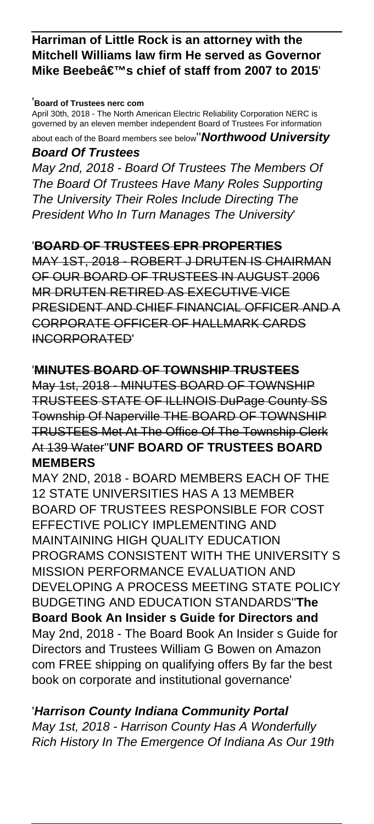## **Harriman of Little Rock is an attorney with the Mitchell Williams law firm He served as Governor** Mike Beebeâ€<sup>™</sup>s chief of staff from 2007 to 2015

#### '**Board of Trustees nerc com**

April 30th, 2018 - The North American Electric Reliability Corporation NERC is governed by an eleven member independent Board of Trustees For information

about each of the Board members see below''**Northwood University**

### **Board Of Trustees**

May 2nd, 2018 - Board Of Trustees The Members Of The Board Of Trustees Have Many Roles Supporting The University Their Roles Include Directing The President Who In Turn Manages The University'

#### '**BOARD OF TRUSTEES EPR PROPERTIES**

MAY 1ST, 2018 - ROBERT J DRUTEN IS CHAIRMAN OF OUR BOARD OF TRUSTEES IN AUGUST 2006 MR DRUTEN RETIRED AS EXECUTIVE VICE PRESIDENT AND CHIEF FINANCIAL OFFICER AND A CORPORATE OFFICER OF HALLMARK CARDS INCORPORATED'

#### '**MINUTES BOARD OF TOWNSHIP TRUSTEES**

May 1st, 2018 - MINUTES BOARD OF TOWNSHIP TRUSTEES STATE OF ILLINOIS DuPage County SS Township Of Naperville THE BOARD OF TOWNSHIP TRUSTEES Met At The Office Of The Township Clerk At 139 Water''**UNF BOARD OF TRUSTEES BOARD MEMBERS**

MAY 2ND, 2018 - BOARD MEMBERS EACH OF THE 12 STATE UNIVERSITIES HAS A 13 MEMBER BOARD OF TRUSTEES RESPONSIBLE FOR COST EFFECTIVE POLICY IMPLEMENTING AND MAINTAINING HIGH QUALITY EDUCATION PROGRAMS CONSISTENT WITH THE UNIVERSITY S MISSION PERFORMANCE EVALUATION AND DEVELOPING A PROCESS MEETING STATE POLICY BUDGETING AND EDUCATION STANDARDS''**The Board Book An Insider s Guide for Directors and** May 2nd, 2018 - The Board Book An Insider s Guide for Directors and Trustees William G Bowen on Amazon com FREE shipping on qualifying offers By far the best book on corporate and institutional governance'

## '**Harrison County Indiana Community Portal**

May 1st, 2018 - Harrison County Has A Wonderfully Rich History In The Emergence Of Indiana As Our 19th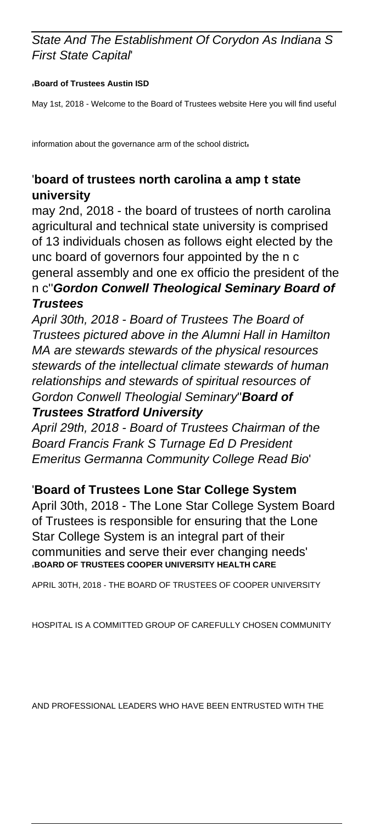## State And The Establishment Of Corydon As Indiana S First State Capital'

#### '**Board of Trustees Austin ISD**

May 1st, 2018 - Welcome to the Board of Trustees website Here you will find useful

information about the governance arm of the school district,

### '**board of trustees north carolina a amp t state university**

may 2nd, 2018 - the board of trustees of north carolina agricultural and technical state university is comprised of 13 individuals chosen as follows eight elected by the unc board of governors four appointed by the n c general assembly and one ex officio the president of the n c''**Gordon Conwell Theological Seminary Board of Trustees**

April 30th, 2018 - Board of Trustees The Board of Trustees pictured above in the Alumni Hall in Hamilton MA are stewards stewards of the physical resources stewards of the intellectual climate stewards of human relationships and stewards of spiritual resources of Gordon Conwell Theologial Seminary''**Board of Trustees Stratford University**

April 29th, 2018 - Board of Trustees Chairman of the Board Francis Frank S Turnage Ed D President Emeritus Germanna Community College Read Bio'

#### '**Board of Trustees Lone Star College System**

April 30th, 2018 - The Lone Star College System Board of Trustees is responsible for ensuring that the Lone Star College System is an integral part of their communities and serve their ever changing needs' '**BOARD OF TRUSTEES COOPER UNIVERSITY HEALTH CARE**

APRIL 30TH, 2018 - THE BOARD OF TRUSTEES OF COOPER UNIVERSITY

HOSPITAL IS A COMMITTED GROUP OF CAREFULLY CHOSEN COMMUNITY

AND PROFESSIONAL LEADERS WHO HAVE BEEN ENTRUSTED WITH THE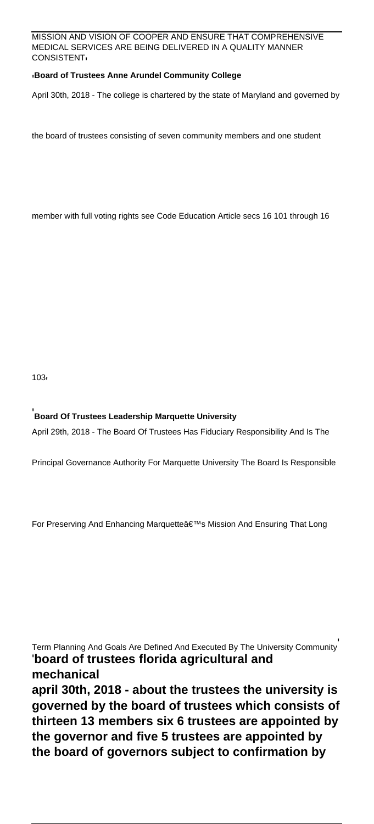#### MISSION AND VISION OF COOPER AND ENSURE THAT COMPREHENSIVE MEDICAL SERVICES ARE BEING DELIVERED IN A QUALITY MANNER CONSISTENT'

#### '**Board of Trustees Anne Arundel Community College**

April 30th, 2018 - The college is chartered by the state of Maryland and governed by

the board of trustees consisting of seven community members and one student

member with full voting rights see Code Education Article secs 16 101 through 16

103'

'**Board Of Trustees Leadership Marquette University**

April 29th, 2018 - The Board Of Trustees Has Fiduciary Responsibility And Is The

Principal Governance Authority For Marquette University The Board Is Responsible

For Preserving And Enhancing Marquette's Mission And Ensuring That Long

Term Planning And Goals Are Defined And Executed By The University Community' '**board of trustees florida agricultural and mechanical april 30th, 2018 - about the trustees the university is governed by the board of trustees which consists of thirteen 13 members six 6 trustees are appointed by the governor and five 5 trustees are appointed by the board of governors subject to confirmation by**